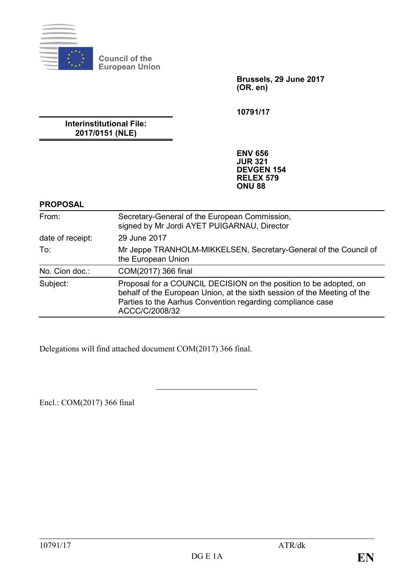

**Council of the European Union**

> **Brussels, 29 June 2017 (OR. en)**

**10791/17**

**Interinstitutional File: 2017/0151 (NLE)**

> **ENV 656 JUR 321 DEVGEN 154 RELEX 579 ONU 88**

#### **PROPOSAL**

| From:            | Secretary-General of the European Commission,<br>signed by Mr Jordi AYET PUIGARNAU, Director                                                                                                                                  |
|------------------|-------------------------------------------------------------------------------------------------------------------------------------------------------------------------------------------------------------------------------|
| date of receipt: | 29 June 2017                                                                                                                                                                                                                  |
| To:              | Mr Jeppe TRANHOLM-MIKKELSEN, Secretary-General of the Council of<br>the European Union                                                                                                                                        |
| No. Cion doc.:   | COM(2017) 366 final                                                                                                                                                                                                           |
| Subject:         | Proposal for a COUNCIL DECISION on the position to be adopted, on<br>behalf of the European Union, at the sixth session of the Meeting of the<br>Parties to the Aarhus Convention regarding compliance case<br>ACCC/C/2008/32 |

Delegations will find attached document COM(2017) 366 final.

Encl.: COM(2017) 366 final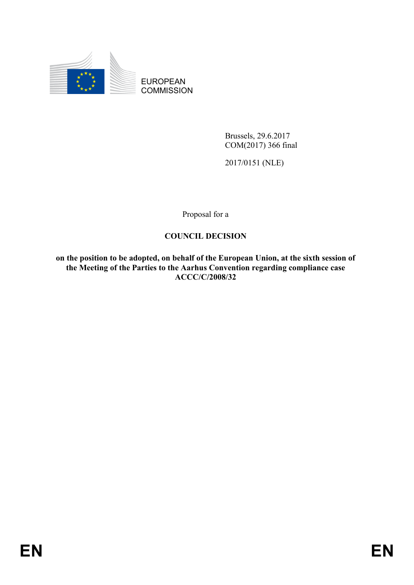

EUROPEAN **COMMISSION** 

> Brussels, 29.6.2017 COM(2017) 366 final

2017/0151 (NLE)

Proposal for a

# **COUNCIL DECISION**

**on the position to be adopted, on behalf of the European Union, at the sixth session of the Meeting of the Parties to the Aarhus Convention regarding compliance case ACCC/C/2008/32**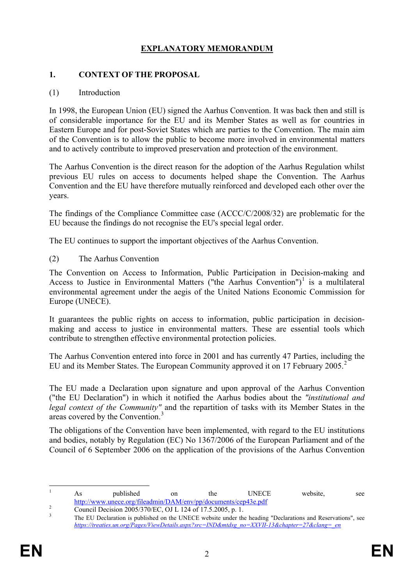# **EXPLANATORY MEMORANDUM**

#### **1. CONTEXT OF THE PROPOSAL**

#### (1) Introduction

In 1998, the European Union (EU) signed the Aarhus Convention. It was back then and still is of considerable importance for the EU and its Member States as well as for countries in Eastern Europe and for post-Soviet States which are parties to the Convention. The main aim of the Convention is to allow the public to become more involved in environmental matters and to actively contribute to improved preservation and protection of the environment.

The Aarhus Convention is the direct reason for the adoption of the Aarhus Regulation whilst previous EU rules on access to documents helped shape the Convention. The Aarhus Convention and the EU have therefore mutually reinforced and developed each other over the years.

The findings of the Compliance Committee case (ACCC/C/2008/32) are problematic for the EU because the findings do not recognise the EU's special legal order.

The EU continues to support the important objectives of the Aarhus Convention.

(2) The Aarhus Convention

The Convention on Access to Information, Public Participation in Decision-making and Access to Justice in Environmental Matters ("the Aarhus Convention")<sup>[1](#page-2-0)</sup> is a multilateral environmental agreement under the aegis of the United Nations Economic Commission for Europe (UNECE).

It guarantees the public rights on access to information, public participation in decisionmaking and access to justice in environmental matters. These are essential tools which contribute to strengthen effective environmental protection policies.

The Aarhus Convention entered into force in 2001 and has currently 47 Parties, including the EU and its Member States. The European Community approved it on 17 February [2](#page-2-1)005.<sup>2</sup>

The EU made a Declaration upon signature and upon approval of the Aarhus Convention ("the EU Declaration") in which it notified the Aarhus bodies about the *"institutional and legal context of the Community"* and the repartition of tasks with its Member States in the areas covered by the Convention.<sup>[3](#page-2-2)</sup>

The obligations of the Convention have been implemented, with regard to the EU institutions and bodies, notably by Regulation (EC) No 1367/2006 of the European Parliament and of the Council of 6 September 2006 on the application of the provisions of the Aarhus Convention

<span id="page-2-0"></span><sup>&</sup>lt;sup>1</sup> As published on the UNECE website, see <http://www.unece.org/fileadmin/DAM/env/pp/documents/cep43e.pdf><br>
Council Decision 2005/370/EC, OJ L 124 of 17.5.2005, p. 1.<br>
The EU Declaration is published on the UNECE website under the heading "Declarations and Reservati

<span id="page-2-2"></span><span id="page-2-1"></span>*[https://treaties.un.org/Pages/ViewDetails.aspx?src=IND&mtdsg\\_no=XXVII-13&chapter=27&clang=\\_en](https://treaties.un.org/Pages/ViewDetails.aspx?src=IND&mtdsg_no=XXVII-13&chapter=27&clang=_en)*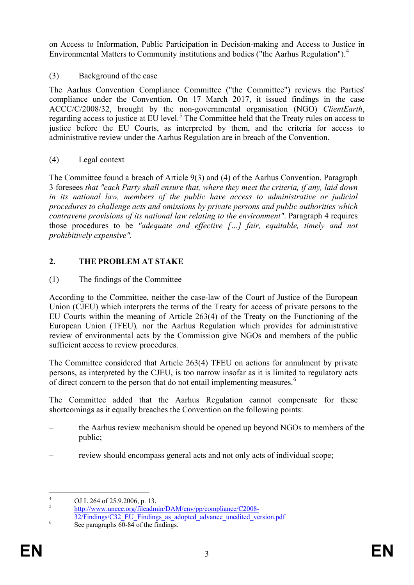on Access to Information, Public Participation in Decision-making and Access to Justice in Environmental Matters to Community institutions and bodies ("the Aarhus Regulation").[4](#page-3-0)

(3) Background of the case

The Aarhus Convention Compliance Committee ("the Committee") reviews the Parties' compliance under the Convention. On 17 March 2017, it issued findings in the case ACCC/C/2008/32, brought by the non-governmental organisation (NGO) *ClientEarth*, regarding access to justice at EU level.<sup>[5](#page-3-1)</sup> The Committee held that the Treaty rules on access to justice before the EU Courts, as interpreted by them, and the criteria for access to administrative review under the Aarhus Regulation are in breach of the Convention.

# (4) Legal context

The Committee found a breach of Article 9(3) and (4) of the Aarhus Convention. Paragraph 3 foresees *that "each Party shall ensure that, where they meet the criteria, if any, laid down in its national law, members of the public have access to administrative or judicial procedures to challenge acts and omissions by private persons and public authorities which contravene provisions of its national law relating to the environment"*. Paragraph 4 requires those procedures to be *"adequate and effective […] fair, equitable, timely and not prohibitively expensive".*

# **2. THE PROBLEM AT STAKE**

# (1) The findings of the Committee

According to the Committee, neither the case-law of the Court of Justice of the European Union (CJEU) which interprets the terms of the Treaty for access of private persons to the EU Courts within the meaning of Article 263(4) of the Treaty on the Functioning of the European Union (TFEU)*,* nor the Aarhus Regulation which provides for administrative review of environmental acts by the Commission give NGOs and members of the public sufficient access to review procedures.

The Committee considered that Article 263(4) TFEU on actions for annulment by private persons, as interpreted by the CJEU, is too narrow insofar as it is limited to regulatory acts of direct concern to the person that do not entail implementing measures.<sup>[6](#page-3-2)</sup>

The Committee added that the Aarhus Regulation cannot compensate for these shortcomings as it equally breaches the Convention on the following points:

- the Aarhus review mechanism should be opened up beyond NGOs to members of the public;
- review should encompass general acts and not only acts of individual scope;

<span id="page-3-0"></span><sup>4</sup> OJ L 264 of 25.9.2006, p. 13.<br> [http://www.unece.org/fileadmin/DAM/env/pp/compliance/C2008-](http://www.unece.org/fileadmin/DAM/env/pp/compliance/C2008-32/Findings/C32_EU_Findings_as_adopted_advance_unedited_version.pdf)

<span id="page-3-2"></span><span id="page-3-1"></span><sup>&</sup>lt;sup>6</sup><br><sup>[32/Findings/C32\\_EU\\_Findings\\_as\\_adopted\\_advance\\_unedited\\_version.pdf](http://www.unece.org/fileadmin/DAM/env/pp/compliance/C2008-32/Findings/C32_EU_Findings_as_adopted_advance_unedited_version.pdf)<br>See paragraphs 60-84 of the findings.</sup>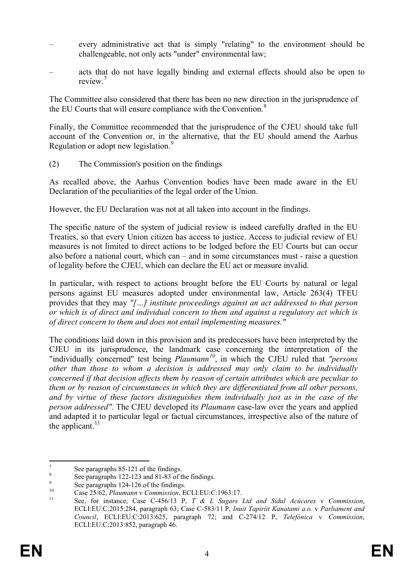- every administrative act that is simply "relating" to the environment should be challengeable, not only acts "under" environmental law;
- acts that do not have legally binding and external effects should also be open to review<sup>[7](#page-4-0)</sup>

The Committee also considered that there has been no new direction in the jurisprudence of the EU Courts that will ensure compliance with the Convention.<sup>[8](#page-4-1)</sup>

Finally, the Committee recommended that the jurisprudence of the CJEU should take full account of the Convention or, in the alternative, that the EU should amend the Aarhus Regulation or adopt new legislation.<sup>[9](#page-4-2)</sup>

(2) The Commission's position on the findings

As recalled above, the Aarhus Convention bodies have been made aware in the EU Declaration of the peculiarities of the legal order of the Union.

However, the EU Declaration was not at all taken into account in the findings.

The specific nature of the system of judicial review is indeed carefully drafted in the EU Treaties, so that every Union citizen has access to justice. Access to judicial review of EU measures is not limited to direct actions to be lodged before the EU Courts but can occur also before a national court, which can – and in some circumstances must - raise a question of legality before the CJEU, which can declare the EU act or measure invalid.

In particular, with respect to actions brought before the EU Courts by natural or legal persons against EU measures adopted under environmental law, Article 263(4) TFEU provides that they may *"[…] institute proceedings against an act addressed to that person or which is of direct and individual concern to them and against a regulatory act which is of direct concern to them and does not entail implementing measures."*

The conditions laid down in this provision and its predecessors have been interpreted by the CJEU in its jurisprudence, the landmark case concerning the interpretation of the "individually concerned" test being *Plaumann[10](#page-4-3)*, in which the CJEU ruled that *"persons other than those to whom a decision is addressed may only claim to be individually concerned if that decision affects them by reason of certain attributes which are peculiar to them or by reason of circumstances in which they are differentiated from all other persons, and by virtue of these factors distinguishes them individually just as in the case of the person addressed".* The CJEU developed its *Plaumann* case-law over the years and applied and adapted it to particular legal or factual circumstances, irrespective also of the nature of the applicant. $^{11}$  $^{11}$  $^{11}$ 

<span id="page-4-4"></span><span id="page-4-3"></span><span id="page-4-2"></span>

<span id="page-4-1"></span><span id="page-4-0"></span><sup>&</sup>lt;sup>7</sup><br>
See paragraphs 85-121 of the findings.<br>
<sup>8</sup><br>
See paragraphs 122-123 and 81-83 of the findings.<br>
<sup>9</sup><br>
Case 25/62, *Plaumann v Commission*, ECLI:EU:C:1963:17.<br>
<sup>10</sup><br>
See, for instance, Case C-456/13 P, *T & L Sugars Lt* ECLI:EU:C:2015:284, paragraph 63; Case C-583/11 P, *Inuit Tapiriit Kanatami a.o.* v *Parliament and Council*, ECLI:EU:C:2013:625, paragraph 72; and C-274/12 P, *Telefónica* v *Commission*, ECLI:EU:C:2013:852, paragraph 46.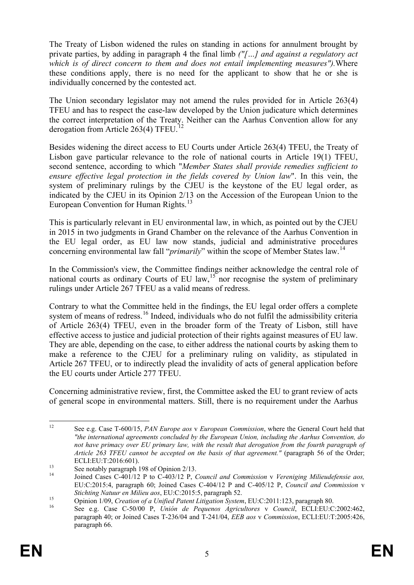The Treaty of Lisbon widened the rules on standing in actions for annulment brought by private parties, by adding in paragraph 4 the final limb *("[…] and against a regulatory act which is of direct concern to them and does not entail implementing measures").*Where these conditions apply, there is no need for the applicant to show that he or she is individually concerned by the contested act.

The Union secondary legislator may not amend the rules provided for in Article 263(4) TFEU and has to respect the case-law developed by the Union judicature which determines the correct interpretation of the Treaty. Neither can the Aarhus Convention allow for any derogation from Article 263(4) TFEU.<sup>[12](#page-5-0)</sup>

Besides widening the direct access to EU Courts under Article 263(4) TFEU, the Treaty of Lisbon gave particular relevance to the role of national courts in Article 19(1) TFEU, second sentence, according to which "*Member States shall provide remedies sufficient to ensure effective legal protection in the fields covered by Union law*". In this vein, the system of preliminary rulings by the CJEU is the keystone of the EU legal order, as indicated by the CJEU in its Opinion 2/13 on the Accession of the European Union to the European Convention for Human Rights.<sup>[13](#page-5-1)</sup>

This is particularly relevant in EU environmental law, in which, as pointed out by the CJEU in 2015 in two judgments in Grand Chamber on the relevance of the Aarhus Convention in the EU legal order, as EU law now stands, judicial and administrative procedures concerning environmental law fall "*primarily*" within the scope of Member States law.[14](#page-5-2)

In the Commission's view, the Committee findings neither acknowledge the central role of national courts as ordinary Courts of EU law,<sup>[15](#page-5-3)</sup> nor recognise the system of preliminary rulings under Article 267 TFEU as a valid means of redress.

Contrary to what the Committee held in the findings, the EU legal order offers a complete system of means of redress.<sup>[16](#page-5-4)</sup> Indeed, individuals who do not fulfil the admissibility criteria of Article 263(4) TFEU, even in the broader form of the Treaty of Lisbon, still have effective access to justice and judicial protection of their rights against measures of EU law. They are able, depending on the case, to either address the national courts by asking them to make a reference to the CJEU for a preliminary ruling on validity, as stipulated in Article 267 TFEU, or to indirectly plead the invalidity of acts of general application before the EU courts under Article 277 TFEU.

Concerning administrative review, first, the Committee asked the EU to grant review of acts of general scope in environmental matters. Still, there is no requirement under the Aarhus

<span id="page-5-0"></span> <sup>12</sup> See e.g. Case T-600/15, *PAN Europe aos* <sup>v</sup> *European Commission*, where the General Court held that *"the international agreements concluded by the European Union, including the Aarhus Convention, do not have primacy over EU primary law, with the result that derogation from the fourth paragraph of Article 263 TFEU cannot be accepted on the basis of that agreement."* (paragraph 56 of the Order;

<span id="page-5-2"></span><span id="page-5-1"></span>ECLIENT ENTRICULTIC CONSERVATION 13<br>
See notably paragraph 198 of Opinion 2/13.<br>
Joined Cases C-401/12 P to C-403/12 P, *Council and Commission* v *Vereniging Milieudefensie aos,* EU:C:2015:4, paragraph 60; Joined Cases C-404/12 P and C-405/12 P, *Council and Commission* v Stichting Natuur en Milieu aos, EU:C:2015:5, paragraph 52.<br>Opinion 1/09, Creation of a Unified Patent Litigation System, EU:C:2011:123, paragraph 80.<br>See e.g. Case C-50/00 P. Unión de Pequenos Agricultores v Council. ECLI:

<span id="page-5-3"></span>

<span id="page-5-4"></span>paragraph 40; or Joined Cases T-236/04 and T-241/04, *EEB aos* v *Commission*, ECLI:EU:T:2005:426, paragraph 66.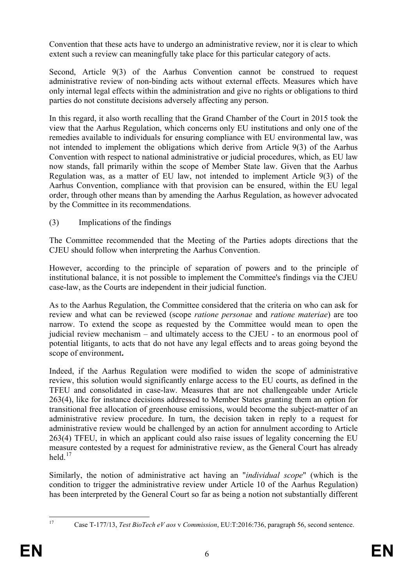Convention that these acts have to undergo an administrative review, nor it is clear to which extent such a review can meaningfully take place for this particular category of acts.

Second, Article 9(3) of the Aarhus Convention cannot be construed to request administrative review of non-binding acts without external effects. Measures which have only internal legal effects within the administration and give no rights or obligations to third parties do not constitute decisions adversely affecting any person.

In this regard, it also worth recalling that the Grand Chamber of the Court in 2015 took the view that the Aarhus Regulation, which concerns only EU institutions and only one of the remedies available to individuals for ensuring compliance with EU environmental law, was not intended to implement the obligations which derive from Article 9(3) of the Aarhus Convention with respect to national administrative or judicial procedures, which, as EU law now stands, fall primarily within the scope of Member State law. Given that the Aarhus Regulation was, as a matter of EU law, not intended to implement Article 9(3) of the Aarhus Convention, compliance with that provision can be ensured, within the EU legal order, through other means than by amending the Aarhus Regulation, as however advocated by the Committee in its recommendations.

(3) Implications of the findings

The Committee recommended that the Meeting of the Parties adopts directions that the CJEU should follow when interpreting the Aarhus Convention.

However, according to the principle of separation of powers and to the principle of institutional balance, it is not possible to implement the Committee's findings via the CJEU case-law, as the Courts are independent in their judicial function.

As to the Aarhus Regulation, the Committee considered that the criteria on who can ask for review and what can be reviewed (scope *ratione personae* and *ratione materiae*) are too narrow. To extend the scope as requested by the Committee would mean to open the judicial review mechanism – and ultimately access to the CJEU - to an enormous pool of potential litigants, to acts that do not have any legal effects and to areas going beyond the scope of environment**.** 

Indeed, if the Aarhus Regulation were modified to widen the scope of administrative review, this solution would significantly enlarge access to the EU courts, as defined in the TFEU and consolidated in case-law. Measures that are not challengeable under Article 263(4), like for instance decisions addressed to Member States granting them an option for transitional free allocation of greenhouse emissions, would become the subject-matter of an administrative review procedure. In turn, the decision taken in reply to a request for administrative review would be challenged by an action for annulment according to Article 263(4) TFEU, in which an applicant could also raise issues of legality concerning the EU measure contested by a request for administrative review, as the General Court has already held $17$ 

Similarly, the notion of administrative act having an "*individual scope*" (which is the condition to trigger the administrative review under Article 10 of the Aarhus Regulation) has been interpreted by the General Court so far as being a notion not substantially different

<span id="page-6-0"></span>

 <sup>17</sup> Case T-177/13, *Test BioTech eV aos* <sup>v</sup> *Commission*, EU:T:2016:736, paragraph 56, second sentence.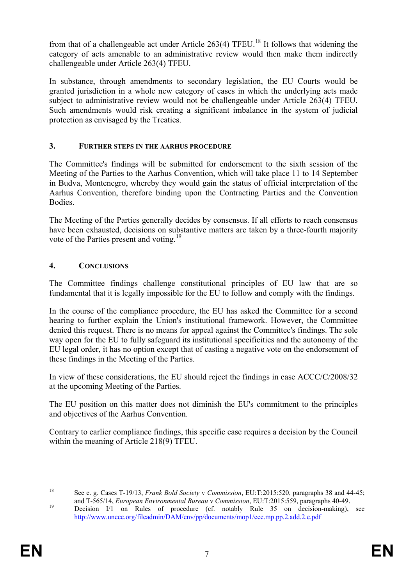from that of a challengeable act under Article 263(4) TFEU.<sup>[18](#page-7-0)</sup> It follows that widening the category of acts amenable to an administrative review would then make them indirectly challengeable under Article 263(4) TFEU.

In substance, through amendments to secondary legislation, the EU Courts would be granted jurisdiction in a whole new category of cases in which the underlying acts made subject to administrative review would not be challengeable under Article 263(4) TFEU. Such amendments would risk creating a significant imbalance in the system of judicial protection as envisaged by the Treaties.

### **3. FURTHER STEPS IN THE AARHUS PROCEDURE**

The Committee's findings will be submitted for endorsement to the sixth session of the Meeting of the Parties to the Aarhus Convention, which will take place 11 to 14 September in Budva, Montenegro, whereby they would gain the status of official interpretation of the Aarhus Convention, therefore binding upon the Contracting Parties and the Convention **Bodies** 

The Meeting of the Parties generally decides by consensus. If all efforts to reach consensus have been exhausted, decisions on substantive matters are taken by a three-fourth majority vote of the Parties present and voting.<sup>[19](#page-7-1)</sup>

# **4. CONCLUSIONS**

The Committee findings challenge constitutional principles of EU law that are so fundamental that it is legally impossible for the EU to follow and comply with the findings.

In the course of the compliance procedure, the EU has asked the Committee for a second hearing to further explain the Union's institutional framework. However, the Committee denied this request. There is no means for appeal against the Committee's findings. The sole way open for the EU to fully safeguard its institutional specificities and the autonomy of the EU legal order, it has no option except that of casting a negative vote on the endorsement of these findings in the Meeting of the Parties.

In view of these considerations, the EU should reject the findings in case ACCC/C/2008/32 at the upcoming Meeting of the Parties.

The EU position on this matter does not diminish the EU's commitment to the principles and objectives of the Aarhus Convention.

Contrary to earlier compliance findings, this specific case requires a decision by the Council within the meaning of Article 218(9) TFEU.

<span id="page-7-0"></span> <sup>18</sup> See e. g. Cases T-19/13, *Frank Bold Society* <sup>v</sup> *Commission*, EU:T:2015:520, paragraphs 38 and 44-45;

<span id="page-7-1"></span>and T-565/14, *European Environmental Bureau V* Commission, EU:T:2015:559, paragraphs 40-49.<br><sup>19</sup> Decision I/1 on Rules of procedure (cf. notably Rule 35 on decision-making), see <http://www.unece.org/fileadmin/DAM/env/pp/documents/mop1/ece.mp.pp.2.add.2.e.pdf>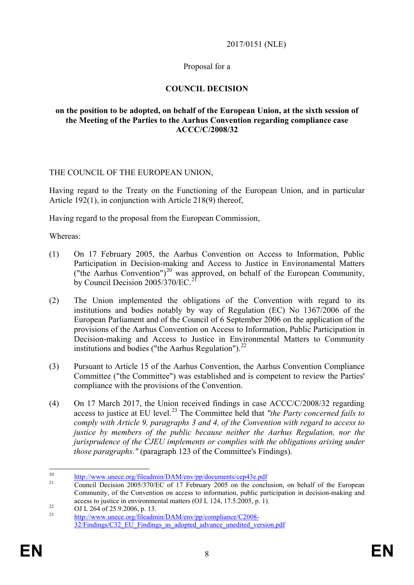### 2017/0151 (NLE)

### Proposal for a

### **COUNCIL DECISION**

#### **on the position to be adopted, on behalf of the European Union, at the sixth session of the Meeting of the Parties to the Aarhus Convention regarding compliance case ACCC/C/2008/32**

#### THE COUNCIL OF THE EUROPEAN UNION,

Having regard to the Treaty on the Functioning of the European Union, and in particular Article 192(1), in conjunction with Article 218(9) thereof,

Having regard to the proposal from the European Commission,

Whereas:

- (1) On 17 February 2005, the Aarhus Convention on Access to Information, Public Participation in Decision-making and Access to Justice in Environamental Matters ("the Aarhus Convention")<sup>[20](#page-8-0)</sup> was approved, on behalf of the European Community, by Council Decision 2005/370/EC.<sup>[21](#page-8-1)</sup>
- (2) The Union implemented the obligations of the Convention with regard to its institutions and bodies notably by way of Regulation (EC) No 1367/2006 of the European Parliament and of the Council of 6 September 2006 on the application of the provisions of the Aarhus Convention on Access to Information, Public Participation in Decision-making and Access to Justice in Environmental Matters to Community institutions and bodies ("the Aarhus Regulation"). $^{22}$  $^{22}$  $^{22}$
- (3) Pursuant to Article 15 of the Aarhus Convention, the Aarhus Convention Compliance Committee ("the Committee") was established and is competent to review the Parties' compliance with the provisions of the Convention.
- (4) On 17 March 2017, the Union received findings in case ACCC/C/2008/32 regarding access to justice at EU level.[23](#page-8-3) The Committee held that *"the Party concerned fails to comply with Article 9, paragraphs 3 and 4, of the Convention with regard to access to justice by members of the public because neither the Aarhus Regulation, nor the jurisprudence of the CJEU implements or complies with the obligations arising under those paragraphs."* (paragraph 123 of the Committee's Findings).

<span id="page-8-1"></span><span id="page-8-0"></span><sup>&</sup>lt;sup>20</sup> <http://www.unece.org/fileadmin/DAM/env/pp/documents/cep43e.pdf><br><sup>21</sup> Council Decision 2005/370/EC of 17 February 2005 on the conclusion, on behalf of the European Community, of the Convention on access to information, public participation in decision-making and access to justice in environmental matters (OJ L 124, 17.5.2005, p. 1).<br>
OJ L 264 of 25.9.2006, p. 13.<br> [http://www.unece.org/fileadmin/DAM/env/pp/compliance/C2008-](http://www.unece.org/fileadmin/DAM/env/pp/compliance/C2008-32/Findings/C32_EU_Findings_as_adopted_advance_unedited_version.pdf)

<span id="page-8-2"></span>

<span id="page-8-3"></span>[<sup>32/</sup>Findings/C32\\_EU\\_Findings\\_as\\_adopted\\_advance\\_unedited\\_version.pdf](http://www.unece.org/fileadmin/DAM/env/pp/compliance/C2008-32/Findings/C32_EU_Findings_as_adopted_advance_unedited_version.pdf)